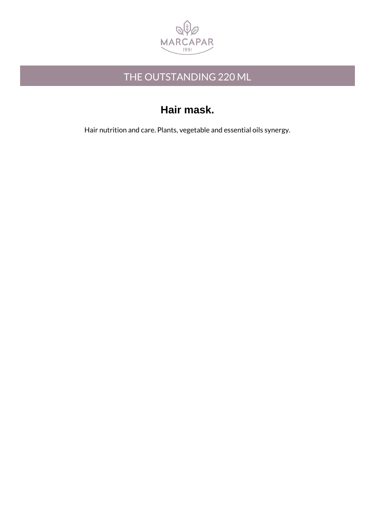

### THE OUTSTANDING 220 ML

## **Hair mask.**

Hair nutrition and care. Plants, vegetable and essential oils synergy.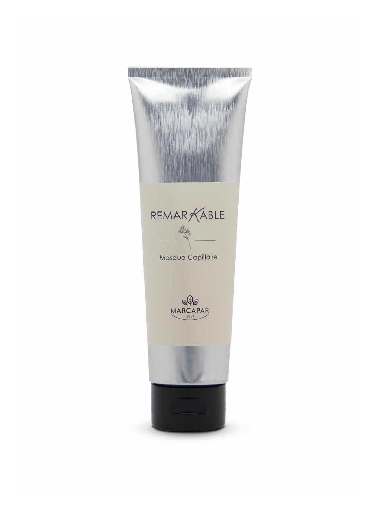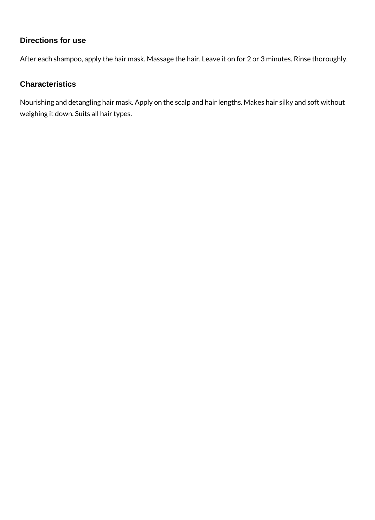#### **Directions for use**

After each shampoo, apply the hair mask. Massage the hair. Leave it on for 2 or 3 minutes. Rinse thoroughly.

#### **Characteristics**

Nourishing and detangling hair mask. Apply on the scalp and hair lengths. Makes hair silky and soft without weighing it down. Suits all hair types.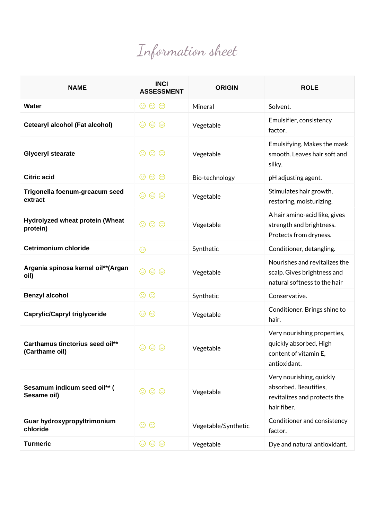# Information sheet

| <b>NAME</b>                                       | <b>INCI</b><br><b>ASSESSMENT</b> | <b>ORIGIN</b>       | <b>ROLE</b>                                                                                      |
|---------------------------------------------------|----------------------------------|---------------------|--------------------------------------------------------------------------------------------------|
| <b>Water</b>                                      | $\circledcirc \circledcirc$      | Mineral             | Solvent.                                                                                         |
| Cetearyl alcohol (Fat alcohol)                    | $\circledcirc$<br>$\odot$        | Vegetable           | Emulsifier, consistency<br>factor.                                                               |
| <b>Glyceryl stearate</b>                          | $\circledcirc \circledcirc$      | Vegetable           | Emulsifying. Makes the mask<br>smooth. Leaves hair soft and<br>silky.                            |
| <b>Citric acid</b>                                | $\circledcirc \circledcirc$      | Bio-technology      | pH adjusting agent.                                                                              |
| Trigonella foenum-greacum seed<br>extract         | $\circledcirc \circledcirc$      | Vegetable           | Stimulates hair growth,<br>restoring, moisturizing.                                              |
| Hydrolyzed wheat protein (Wheat<br>protein)       | $\circledcirc$ $\circledcirc$    | Vegetable           | A hair amino-acid like, gives<br>strength and brightness.<br>Protects from dryness.              |
| <b>Cetrimonium chloride</b>                       | ☺                                | Synthetic           | Conditioner, detangling.                                                                         |
| Argania spinosa kernel oil**(Argan<br>oil)        | $\circledcirc$<br>$\odot$        | Vegetable           | Nourishes and revitalizes the<br>scalp. Gives brightness and<br>natural softness to the hair     |
| <b>Benzyl alcohol</b>                             | $\odot$<br>☺                     | Synthetic           | Conservative.                                                                                    |
| <b>Caprylic/Capryl triglyceride</b>               | $\odot$<br>☺                     | Vegetable           | Conditioner. Brings shine to<br>hair.                                                            |
| Carthamus tinctorius seed oil**<br>(Carthame oil) | $\circledcirc$<br>(ు)            | Vegetable           | Very nourishing properties,<br>quickly absorbed, High<br>content of vitamin E,<br>antioxidant.   |
| Sesamum indicum seed oil** (<br>Sesame oil)       | $\circledcirc \circledcirc$      | Vegetable           | Very nourishing, quickly<br>absorbed. Beautifies,<br>revitalizes and protects the<br>hair fiber. |
| Guar hydroxypropyltrimonium<br>chloride           | $\odot$<br>(ు)                   | Vegetable/Synthetic | Conditioner and consistency<br>factor.                                                           |
| <b>Turmeric</b>                                   | $\circledcirc$<br>$\circledcirc$ | Vegetable           | Dye and natural antioxidant.                                                                     |